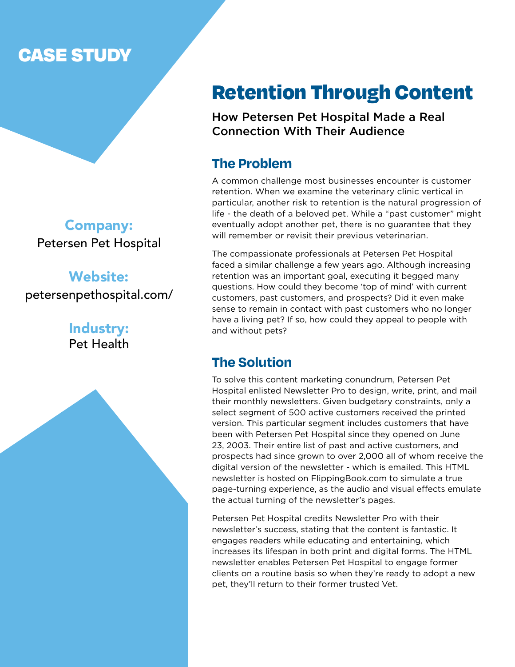### CASE STUDY

Company: Petersen Pet Hospital

Website: petersenpethospital.com/

> Industry: Pet Health

### Retention Through Content

How Petersen Pet Hospital Made a Real Connection With Their Audience

### **The Problem**

A common challenge most businesses encounter is customer retention. When we examine the veterinary clinic vertical in particular, another risk to retention is the natural progression of life - the death of a beloved pet. While a "past customer" might eventually adopt another pet, there is no guarantee that they will remember or revisit their previous veterinarian.

The compassionate professionals at Petersen Pet Hospital faced a similar challenge a few years ago. Although increasing retention was an important goal, executing it begged many questions. How could they become 'top of mind' with current customers, past customers, and prospects? Did it even make sense to remain in contact with past customers who no longer have a living pet? If so, how could they appeal to people with and without pets?

### **The Solution**

To solve this content marketing conundrum, Petersen Pet Hospital enlisted Newsletter Pro to design, write, print, and mail their monthly newsletters. Given budgetary constraints, only a select segment of 500 active customers received the printed version. This particular segment includes customers that have been with Petersen Pet Hospital since they opened on June 23, 2003. Their entire list of past and active customers, and prospects had since grown to over 2,000 all of whom receive the digital version of the newsletter - which is emailed. This HTML newsletter is hosted on FlippingBook.com to simulate a true page-turning experience, as the audio and visual effects emulate the actual turning of the newsletter's pages.

Petersen Pet Hospital credits Newsletter Pro with their newsletter's success, stating that the content is fantastic. It engages readers while educating and entertaining, which increases its lifespan in both print and digital forms. The HTML newsletter enables Petersen Pet Hospital to engage former clients on a routine basis so when they're ready to adopt a new pet, they'll return to their former trusted Vet.